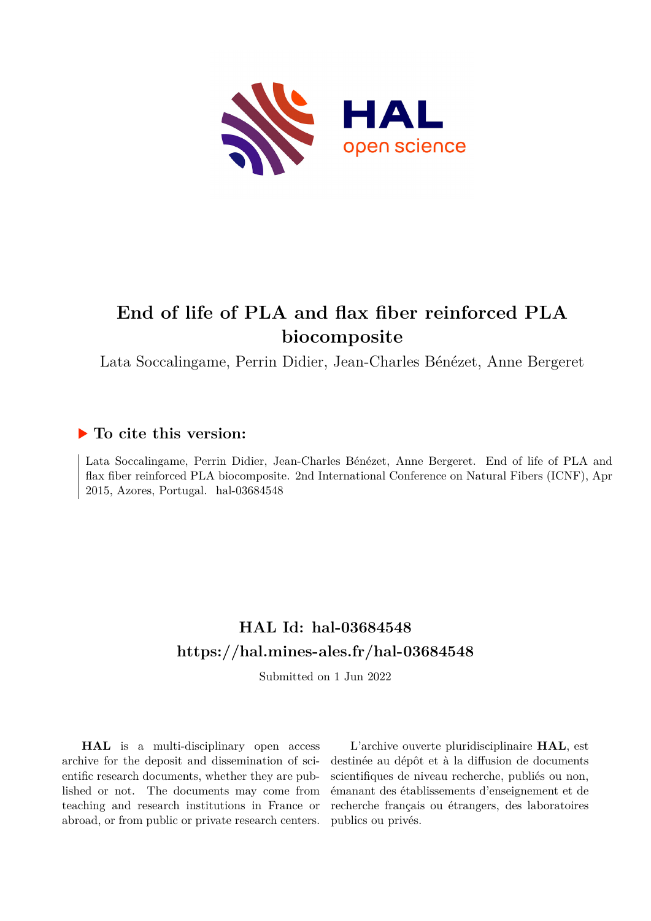

# **End of life of PLA and flax fiber reinforced PLA biocomposite**

Lata Soccalingame, Perrin Didier, Jean-Charles Bénézet, Anne Bergeret

## **To cite this version:**

Lata Soccalingame, Perrin Didier, Jean-Charles Bénézet, Anne Bergeret. End of life of PLA and flax fiber reinforced PLA biocomposite. 2nd International Conference on Natural Fibers (ICNF), Apr  $2015$ , Azores, Portugal. hal-03684548

## **HAL Id: hal-03684548 <https://hal.mines-ales.fr/hal-03684548>**

Submitted on 1 Jun 2022

**HAL** is a multi-disciplinary open access archive for the deposit and dissemination of scientific research documents, whether they are published or not. The documents may come from teaching and research institutions in France or abroad, or from public or private research centers.

L'archive ouverte pluridisciplinaire **HAL**, est destinée au dépôt et à la diffusion de documents scientifiques de niveau recherche, publiés ou non, émanant des établissements d'enseignement et de recherche français ou étrangers, des laboratoires publics ou privés.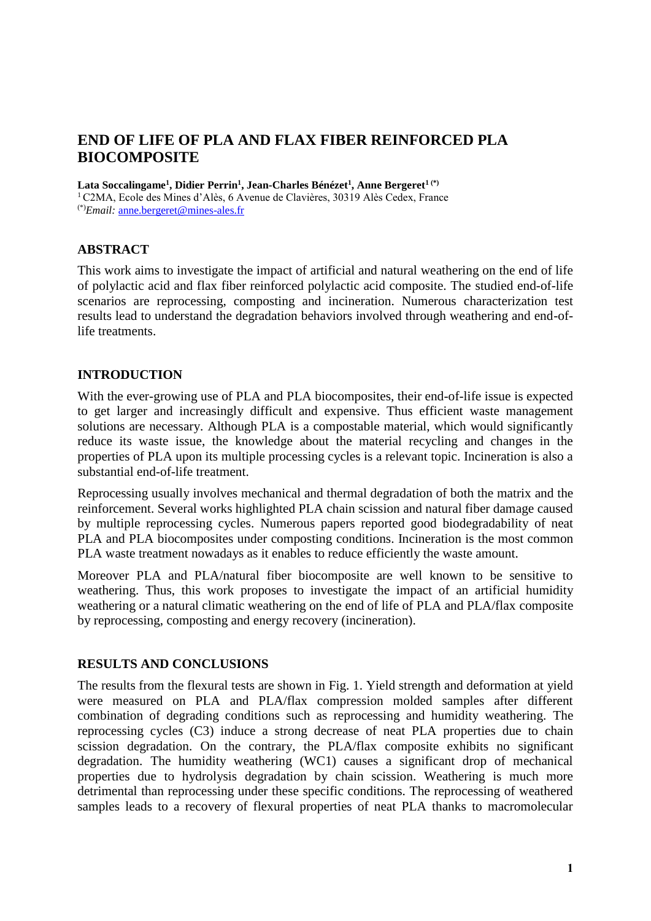## **END OF LIFE OF PLA AND FLAX FIBER REINFORCED PLA BIOCOMPOSITE**

**Lata Soccalingame<sup>1</sup> , Didier Perrin<sup>1</sup> , Jean-Charles Bénézet<sup>1</sup> , Anne Bergeret1 (\*)**

<sup>1</sup> C2MA, Ecole des Mines d'Alès, 6 Avenue de Clavières, 30319 Alès Cedex, France (\*)*Email:* [anne.bergeret@mines-ales.fr](mailto:anne.bergeret@mines-ales.fr)

#### **ABSTRACT**

This work aims to investigate the impact of artificial and natural weathering on the end of life of polylactic acid and flax fiber reinforced polylactic acid composite. The studied end-of-life scenarios are reprocessing, composting and incineration. Numerous characterization test results lead to understand the degradation behaviors involved through weathering and end-oflife treatments.

#### **INTRODUCTION**

With the ever-growing use of PLA and PLA biocomposites, their end-of-life issue is expected to get larger and increasingly difficult and expensive. Thus efficient waste management solutions are necessary. Although PLA is a compostable material, which would significantly reduce its waste issue, the knowledge about the material recycling and changes in the properties of PLA upon its multiple processing cycles is a relevant topic. Incineration is also a substantial end-of-life treatment.

Reprocessing usually involves mechanical and thermal degradation of both the matrix and the reinforcement. Several works highlighted PLA chain scission and natural fiber damage caused by multiple reprocessing cycles. Numerous papers reported good biodegradability of neat PLA and PLA biocomposites under composting conditions. Incineration is the most common PLA waste treatment nowadays as it enables to reduce efficiently the waste amount.

Moreover PLA and PLA/natural fiber biocomposite are well known to be sensitive to weathering. Thus, this work proposes to investigate the impact of an artificial humidity weathering or a natural climatic weathering on the end of life of PLA and PLA/flax composite by reprocessing, composting and energy recovery (incineration).

#### **RESULTS AND CONCLUSIONS**

The results from the flexural tests are shown in Fig. 1. Yield strength and deformation at yield were measured on PLA and PLA/flax compression molded samples after different combination of degrading conditions such as reprocessing and humidity weathering. The reprocessing cycles (C3) induce a strong decrease of neat PLA properties due to chain scission degradation. On the contrary, the PLA/flax composite exhibits no significant degradation. The humidity weathering (WC1) causes a significant drop of mechanical properties due to hydrolysis degradation by chain scission. Weathering is much more detrimental than reprocessing under these specific conditions. The reprocessing of weathered samples leads to a recovery of flexural properties of neat PLA thanks to macromolecular